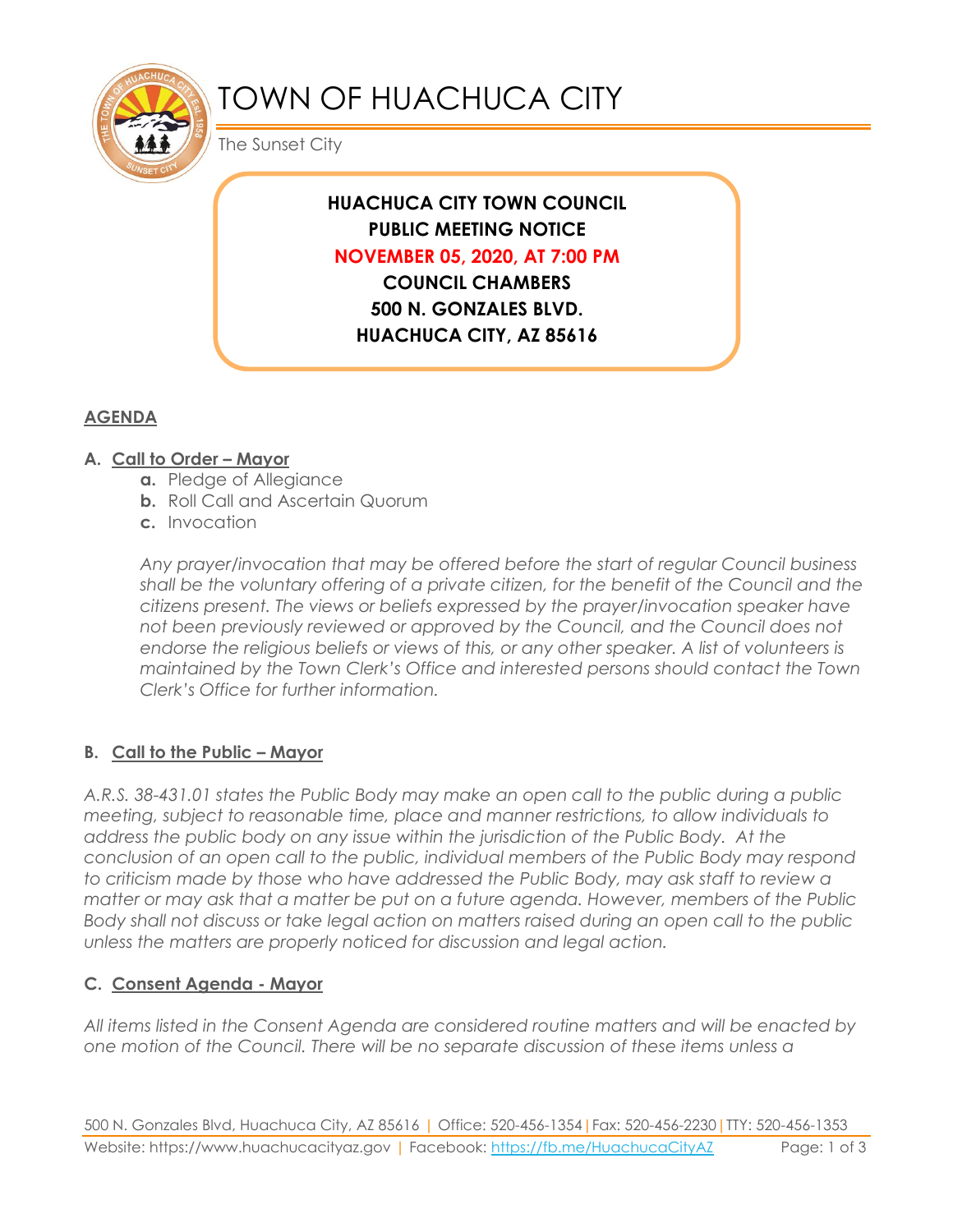

# TOWN OF HUACHUCA CITY

The Sunset City

## **HUACHUCA CITY TOWN COUNCIL PUBLIC MEETING NOTICE NOVEMBER 05, 2020, AT 7:00 PM COUNCIL CHAMBERS**

**500 N. GONZALES BLVD. HUACHUCA CITY, AZ 85616**

# **AGENDA**

#### **A. Call to Order – Mayor**

- **a.** Pledge of Allegiance
- **b.** Roll Call and Ascertain Quorum
- **c.** Invocation

*Any prayer/invocation that may be offered before the start of regular Council business shall be the voluntary offering of a private citizen, for the benefit of the Council and the citizens present. The views or beliefs expressed by the prayer/invocation speaker have not been previously reviewed or approved by the Council, and the Council does not endorse the religious beliefs or views of this, or any other speaker. A list of volunteers is maintained by the Town Clerk's Office and interested persons should contact the Town Clerk's Office for further information.*

#### **B. Call to the Public – Mayor**

*A.R.S. 38-431.01 states the Public Body may make an open call to the public during a public meeting, subject to reasonable time, place and manner restrictions, to allow individuals to address the public body on any issue within the jurisdiction of the Public Body. At the conclusion of an open call to the public, individual members of the Public Body may respond to criticism made by those who have addressed the Public Body, may ask staff to review a matter or may ask that a matter be put on a future agenda. However, members of the Public Body shall not discuss or take legal action on matters raised during an open call to the public unless the matters are properly noticed for discussion and legal action.*

#### **C. Consent Agenda - Mayor**

*All items listed in the Consent Agenda are considered routine matters and will be enacted by one motion of the Council. There will be no separate discussion of these items unless a*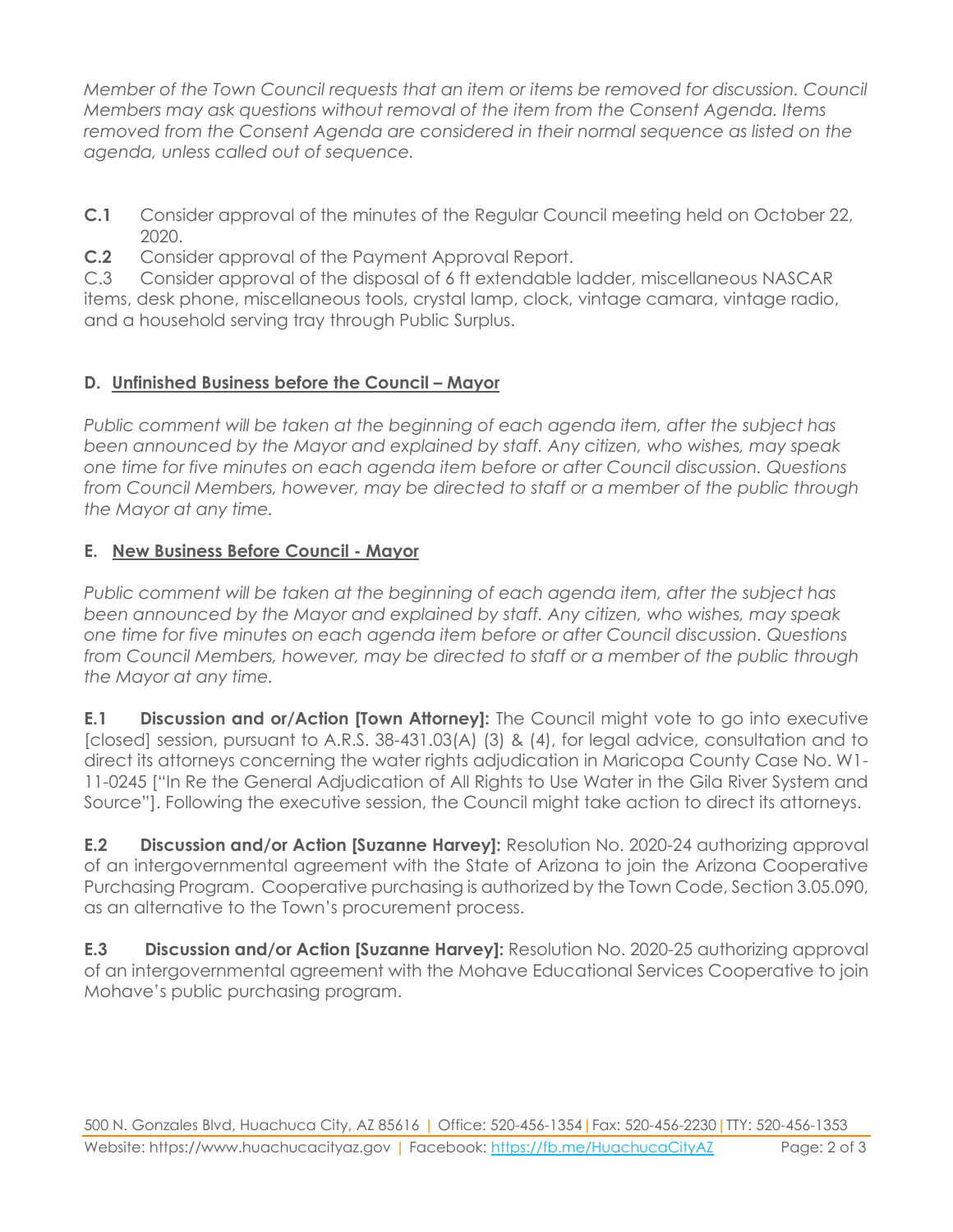*Member of the Town Council requests that an item or items be removed for discussion. Council Members may ask questions without removal of the item from the Consent Agenda. Items removed from the Consent Agenda are considered in their normal sequence as listed on the agenda, unless called out of sequence.*

**C.1** Consider approval of the minutes of the Regular Council meeting held on October 22, 2020.

**C.2** Consider approval of the Payment Approval Report.

C.3 Consider approval of the disposal of 6 ft extendable ladder, miscellaneous NASCAR items, desk phone, miscellaneous tools, crystal lamp, clock, vintage camara, vintage radio, and a household serving tray through Public Surplus.

## **D. Unfinished Business before the Council – Mayor**

*Public comment will be taken at the beginning of each agenda item, after the subject has been announced by the Mayor and explained by staff. Any citizen, who wishes, may speak one time for five minutes on each agenda item before or after Council discussion. Questions from Council Members, however, may be directed to staff or a member of the public through the Mayor at any time.*

#### **E. New Business Before Council - Mayor**

*Public comment will be taken at the beginning of each agenda item, after the subject has been announced by the Mayor and explained by staff. Any citizen, who wishes, may speak one time for five minutes on each agenda item before or after Council discussion. Questions from Council Members, however, may be directed to staff or a member of the public through the Mayor at any time.* 

**E.1 Discussion and or/Action [Town Attorney]:** The Council might vote to go into executive [closed] session, pursuant to A.R.S. 38-431.03(A) (3) & (4), for legal advice, consultation and to direct its attorneys concerning the water rights adjudication in Maricopa County Case No. W1- 11-0245 ["In Re the General Adjudication of All Rights to Use Water in the Gila River System and Source"]. Following the executive session, the Council might take action to direct its attorneys.

**E.2 Discussion and/or Action [Suzanne Harvey]:** Resolution No. 2020-24 authorizing approval of an intergovernmental agreement with the State of Arizona to join the Arizona Cooperative Purchasing Program. Cooperative purchasing is authorized by the Town Code, Section 3.05.090, as an alternative to the Town's procurement process.

**E.3 Discussion and/or Action [Suzanne Harvey]:** Resolution No. 2020-25 authorizing approval of an intergovernmental agreement with the Mohave Educational Services Cooperative to join Mohave's public purchasing program.